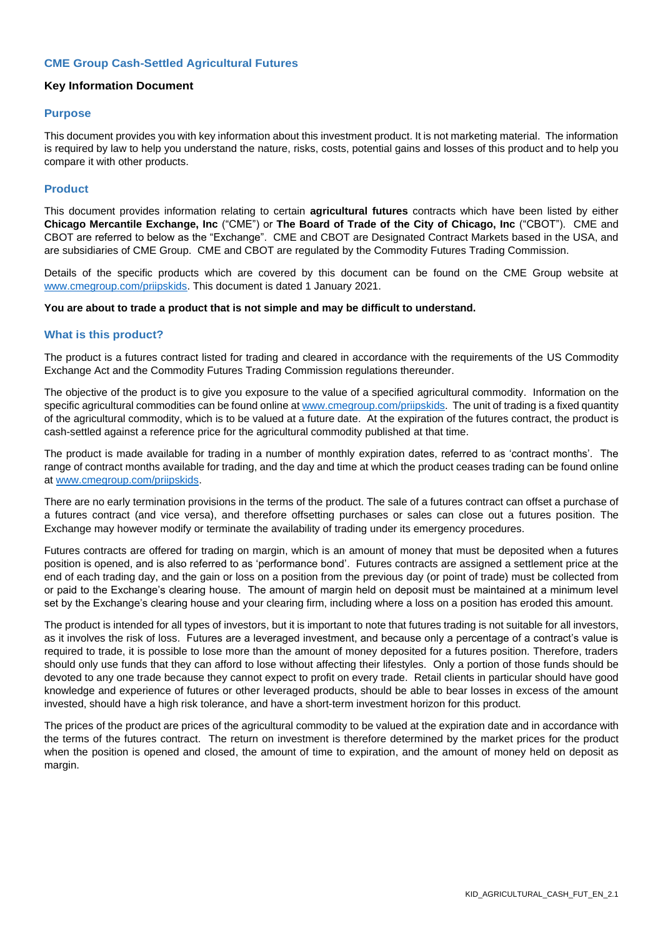# **CME Group Cash-Settled Agricultural Futures**

# **Key Information Document**

#### **Purpose**

This document provides you with key information about this investment product. It is not marketing material. The information is required by law to help you understand the nature, risks, costs, potential gains and losses of this product and to help you compare it with other products.

# **Product**

This document provides information relating to certain **agricultural futures** contracts which have been listed by either **Chicago Mercantile Exchange, Inc** ("CME") or **The Board of Trade of the City of Chicago, Inc** ("CBOT"). CME and CBOT are referred to below as the "Exchange". CME and CBOT are Designated Contract Markets based in the USA, and are subsidiaries of CME Group. CME and CBOT are regulated by the Commodity Futures Trading Commission.

Details of the specific products which are covered by this document can be found on the CME Group website at [www.cmegroup.com/priipskids.](http://www.cmegroup.com/priipskids) This document is dated 1 January 2021.

#### **You are about to trade a product that is not simple and may be difficult to understand.**

# **What is this product?**

The product is a futures contract listed for trading and cleared in accordance with the requirements of the US Commodity Exchange Act and the Commodity Futures Trading Commission regulations thereunder.

The objective of the product is to give you exposure to the value of a specified agricultural commodity. Information on the specific agricultural commodities can be found online a[t www.cmegroup.com/priipskids.](http://www.cmegroup.com/priipskids) The unit of trading is a fixed quantity of the agricultural commodity, which is to be valued at a future date. At the expiration of the futures contract, the product is cash-settled against a reference price for the agricultural commodity published at that time.

The product is made available for trading in a number of monthly expiration dates, referred to as 'contract months'. The range of contract months available for trading, and the day and time at which the product ceases trading can be found online at [www.cmegroup.com/priipskids.](http://www.cmegroup.com/priipskids)

There are no early termination provisions in the terms of the product. The sale of a futures contract can offset a purchase of a futures contract (and vice versa), and therefore offsetting purchases or sales can close out a futures position. The Exchange may however modify or terminate the availability of trading under its emergency procedures.

Futures contracts are offered for trading on margin, which is an amount of money that must be deposited when a futures position is opened, and is also referred to as 'performance bond'. Futures contracts are assigned a settlement price at the end of each trading day, and the gain or loss on a position from the previous day (or point of trade) must be collected from or paid to the Exchange's clearing house. The amount of margin held on deposit must be maintained at a minimum level set by the Exchange's clearing house and your clearing firm, including where a loss on a position has eroded this amount.

The product is intended for all types of investors, but it is important to note that futures trading is not suitable for all investors, as it involves the risk of loss. Futures are a leveraged investment, and because only a percentage of a contract's value is required to trade, it is possible to lose more than the amount of money deposited for a futures position. Therefore, traders should only use funds that they can afford to lose without affecting their lifestyles. Only a portion of those funds should be devoted to any one trade because they cannot expect to profit on every trade. Retail clients in particular should have good knowledge and experience of futures or other leveraged products, should be able to bear losses in excess of the amount invested, should have a high risk tolerance, and have a short-term investment horizon for this product.

The prices of the product are prices of the agricultural commodity to be valued at the expiration date and in accordance with the terms of the futures contract. The return on investment is therefore determined by the market prices for the product when the position is opened and closed, the amount of time to expiration, and the amount of money held on deposit as margin.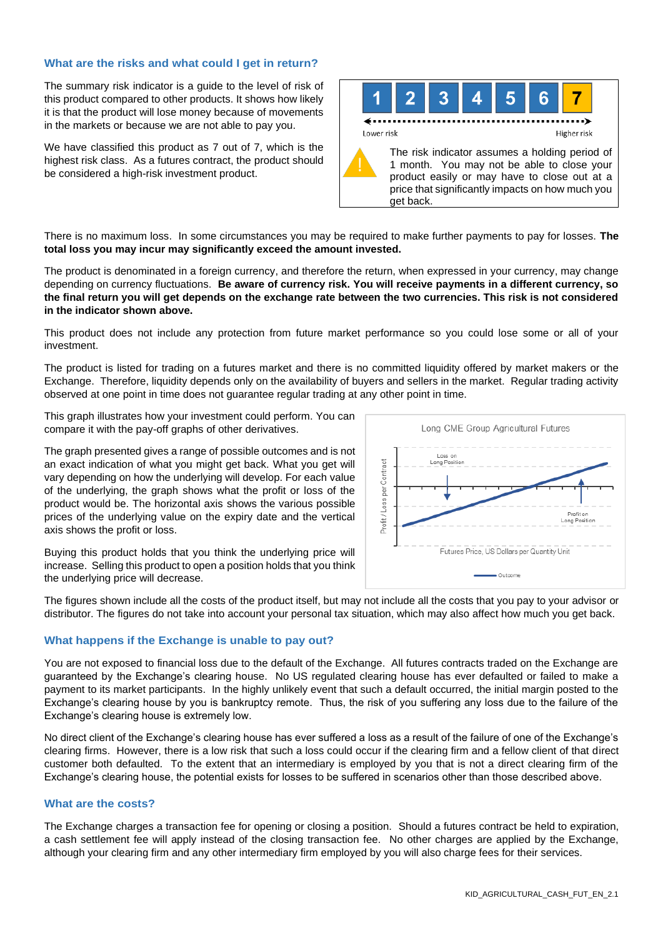# **What are the risks and what could I get in return?**

The summary risk indicator is a guide to the level of risk of this product compared to other products. It shows how likely it is that the product will lose money because of movements in the markets or because we are not able to pay you.

We have classified this product as 7 out of 7, which is the highest risk class. As a futures contract, the product should be considered a high-risk investment product.



There is no maximum loss. In some circumstances you may be required to make further payments to pay for losses. **The total loss you may incur may significantly exceed the amount invested.**

The product is denominated in a foreign currency, and therefore the return, when expressed in your currency, may change depending on currency fluctuations. **Be aware of currency risk. You will receive payments in a different currency, so the final return you will get depends on the exchange rate between the two currencies. This risk is not considered in the indicator shown above.**

This product does not include any protection from future market performance so you could lose some or all of your investment.

The product is listed for trading on a futures market and there is no committed liquidity offered by market makers or the Exchange. Therefore, liquidity depends only on the availability of buyers and sellers in the market. Regular trading activity observed at one point in time does not guarantee regular trading at any other point in time.

This graph illustrates how your investment could perform. You can compare it with the pay-off graphs of other derivatives.

The graph presented gives a range of possible outcomes and is not an exact indication of what you might get back. What you get will vary depending on how the underlying will develop. For each value of the underlying, the graph shows what the profit or loss of the product would be. The horizontal axis shows the various possible prices of the underlying value on the expiry date and the vertical axis shows the profit or loss.



Buying this product holds that you think the underlying price will increase. Selling this product to open a position holds that you think the underlying price will decrease.

The figures shown include all the costs of the product itself, but may not include all the costs that you pay to your advisor or distributor. The figures do not take into account your personal tax situation, which may also affect how much you get back.

# **What happens if the Exchange is unable to pay out?**

You are not exposed to financial loss due to the default of the Exchange. All futures contracts traded on the Exchange are guaranteed by the Exchange's clearing house. No US regulated clearing house has ever defaulted or failed to make a payment to its market participants. In the highly unlikely event that such a default occurred, the initial margin posted to the Exchange's clearing house by you is bankruptcy remote. Thus, the risk of you suffering any loss due to the failure of the Exchange's clearing house is extremely low.

No direct client of the Exchange's clearing house has ever suffered a loss as a result of the failure of one of the Exchange's clearing firms. However, there is a low risk that such a loss could occur if the clearing firm and a fellow client of that direct customer both defaulted. To the extent that an intermediary is employed by you that is not a direct clearing firm of the Exchange's clearing house, the potential exists for losses to be suffered in scenarios other than those described above.

# **What are the costs?**

The Exchange charges a transaction fee for opening or closing a position. Should a futures contract be held to expiration, a cash settlement fee will apply instead of the closing transaction fee. No other charges are applied by the Exchange, although your clearing firm and any other intermediary firm employed by you will also charge fees for their services.